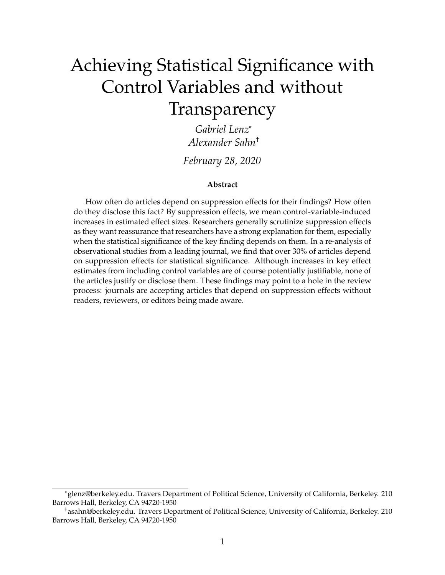# Achieving Statistical Significance with Control Variables and without Transparency

*Gabriel Lenz*[\\*](#page-0-0) *Alexander Sah[n](#page-0-1)*† *February 28, 2020*

#### **Abstract**

How often do articles depend on suppression effects for their findings? How often do they disclose this fact? By suppression effects, we mean control-variable-induced increases in estimated effect sizes. Researchers generally scrutinize suppression effects as they want reassurance that researchers have a strong explanation for them, especially when the statistical significance of the key finding depends on them. In a re-analysis of observational studies from a leading journal, we find that over 30% of articles depend on suppression effects for statistical significance. Although increases in key effect estimates from including control variables are of course potentially justifiable, none of the articles justify or disclose them. These findings may point to a hole in the review process: journals are accepting articles that depend on suppression effects without readers, reviewers, or editors being made aware.

<span id="page-0-0"></span><sup>\*</sup>[glenz@berkeley.edu.](mailto:glenz@berkeley.edu) Travers Department of Political Science, University of California, Berkeley. 210 Barrows Hall, Berkeley, CA 94720-1950

<span id="page-0-1"></span><sup>†</sup>[asahn@berkeley.edu.](mailto:asahn@berkeley.edu) Travers Department of Political Science, University of California, Berkeley. 210 Barrows Hall, Berkeley, CA 94720-1950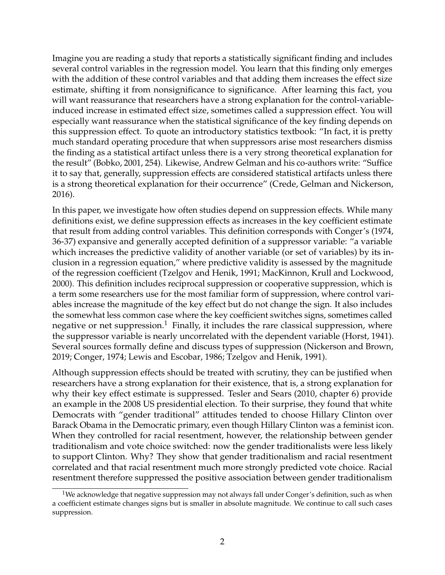Imagine you are reading a study that reports a statistically significant finding and includes several control variables in the regression model. You learn that this finding only emerges with the addition of these control variables and that adding them increases the effect size estimate, shifting it from nonsignificance to significance. After learning this fact, you will want reassurance that researchers have a strong explanation for the control-variableinduced increase in estimated effect size, sometimes called a suppression effect. You will especially want reassurance when the statistical significance of the key finding depends on this suppression effect. To quote an introductory statistics textbook: "In fact, it is pretty much standard operating procedure that when suppressors arise most researchers dismiss the finding as a statistical artifact unless there is a very strong theoretical explanation for the result" [\(Bobko, 2001,](#page-16-0) 254). Likewise, Andrew Gelman and his co-authors write: "Suffice it to say that, generally, suppression effects are considered statistical artifacts unless there is a strong theoretical explanation for their occurrence" [\(Crede, Gelman and Nickerson,](#page-16-1) [2016\)](#page-16-1).

In this paper, we investigate how often studies depend on suppression effects. While many definitions exist, we define suppression effects as increases in the key coefficient estimate that result from adding control variables. This definition corresponds with Conger's [\(1974,](#page-16-2) 36-37) expansive and generally accepted definition of a suppressor variable: "a variable which increases the predictive validity of another variable (or set of variables) by its inclusion in a regression equation," where predictive validity is assessed by the magnitude of the regression coefficient [\(Tzelgov and Henik, 1991;](#page-19-0) [MacKinnon, Krull and Lockwood,](#page-18-0) [2000\)](#page-18-0). This definition includes reciprocal suppression or cooperative suppression, which is a term some researchers use for the most familiar form of suppression, where control variables increase the magnitude of the key effect but do not change the sign. It also includes the somewhat less common case where the key coefficient switches signs, sometimes called negative or net suppression.<sup>[1](#page-1-0)</sup> Finally, it includes the rare classical suppression, where the suppressor variable is nearly uncorrelated with the dependent variable [\(Horst, 1941\)](#page-17-0). Several sources formally define and discuss types of suppression [\(Nickerson and Brown,](#page-18-1) [2019;](#page-18-1) [Conger, 1974;](#page-16-2) [Lewis and Escobar, 1986;](#page-18-2) [Tzelgov and Henik, 1991\)](#page-19-0).

Although suppression effects should be treated with scrutiny, they can be justified when researchers have a strong explanation for their existence, that is, a strong explanation for why their key effect estimate is suppressed. Tesler and Sears [\(2010,](#page-19-1) chapter 6) provide an example in the 2008 US presidential election. To their surprise, they found that white Democrats with "gender traditional" attitudes tended to choose Hillary Clinton over Barack Obama in the Democratic primary, even though Hillary Clinton was a feminist icon. When they controlled for racial resentment, however, the relationship between gender traditionalism and vote choice switched: now the gender traditionalists were less likely to support Clinton. Why? They show that gender traditionalism and racial resentment correlated and that racial resentment much more strongly predicted vote choice. Racial resentment therefore suppressed the positive association between gender traditionalism

<span id="page-1-0"></span><sup>&</sup>lt;sup>1</sup>We acknowledge that negative suppression may not always fall under Conger's definition, such as when a coefficient estimate changes signs but is smaller in absolute magnitude. We continue to call such cases suppression.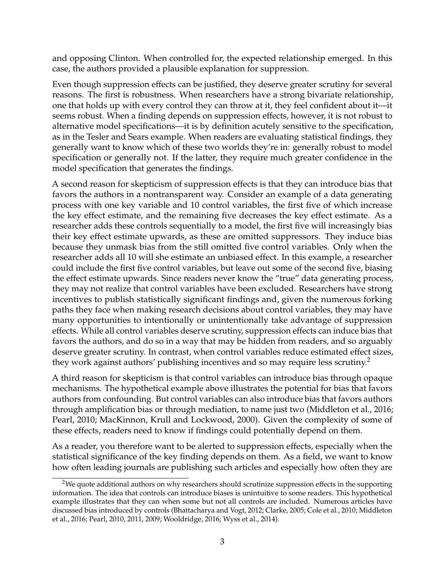and opposing Clinton. When controlled for, the expected relationship emerged. In this case, the authors provided a plausible explanation for suppression.

Even though suppression effects can be justified, they deserve greater scrutiny for several reasons. The first is robustness. When researchers have a strong bivariate relationship, one that holds up with every control they can throw at it, they feel confident about it—it seems robust. When a finding depends on suppression effects, however, it is not robust to alternative model specifications—it is by definition acutely sensitive to the specification, as in the Tesler and Sears example. When readers are evaluating statistical findings, they generally want to know which of these two worlds they're in: generally robust to model specification or generally not. If the latter, they require much greater confidence in the model specification that generates the findings.

A second reason for skepticism of suppression effects is that they can introduce bias that favors the authors in a nontransparent way. Consider an example of a data generating process with one key variable and 10 control variables, the first five of which increase the key effect estimate, and the remaining five decreases the key effect estimate. As a researcher adds these controls sequentially to a model, the first five will increasingly bias their key effect estimate upwards, as these are omitted suppressors. They induce bias because they unmask bias from the still omitted five control variables. Only when the researcher adds all 10 will she estimate an unbiased effect. In this example, a researcher could include the first five control variables, but leave out some of the second five, biasing the effect estimate upwards. Since readers never know the "true" data generating process, they may not realize that control variables have been excluded. Researchers have strong incentives to publish statistically significant findings and, given the numerous forking paths they face when making research decisions about control variables, they may have many opportunities to intentionally or unintentionally take advantage of suppression effects. While all control variables deserve scrutiny, suppression effects can induce bias that favors the authors, and do so in a way that may be hidden from readers, and so arguably deserve greater scrutiny. In contrast, when control variables reduce estimated effect sizes, they work against authors' publishing incentives and so may require less scrutiny.<sup>[2](#page-2-0)</sup>

A third reason for skepticism is that control variables can introduce bias through opaque mechanisms. The hypothetical example above illustrates the potential for bias that favors authors from confounding. But control variables can also introduce bias that favors authors through amplification bias or through mediation, to name just two [\(Middleton et al., 2016;](#page-18-3) [Pearl, 2010;](#page-18-4) [MacKinnon, Krull and Lockwood, 2000\)](#page-18-0). Given the complexity of some of these effects, readers need to know if findings could potentially depend on them.

As a reader, you therefore want to be alerted to suppression effects, especially when the statistical significance of the key finding depends on them. As a field, we want to know how often leading journals are publishing such articles and especially how often they are

<span id="page-2-0"></span><sup>&</sup>lt;sup>2</sup>We quote additional authors on why researchers should scrutinize suppression effects in the supporting information. The idea that controls can introduce biases is unintuitive to some readers. This hypothetical example illustrates that they can when some but not all controls are included. Numerous articles have discussed bias introduced by controls [\(Bhattacharya and Vogt, 2012;](#page-16-3) [Clarke, 2005;](#page-16-4) [Cole et al., 2010;](#page-16-5) [Middleton](#page-18-3) [et al., 2016;](#page-18-3) [Pearl, 2010,](#page-18-4) [2011,](#page-18-5) [2009;](#page-18-6) [Wooldridge, 2016;](#page-19-2) [Wyss et al., 2014\)](#page-19-3).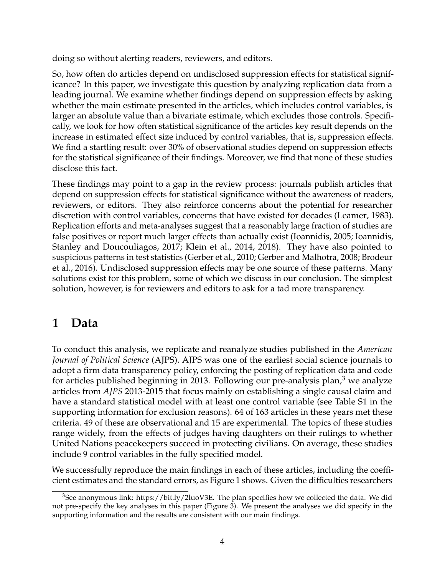doing so without alerting readers, reviewers, and editors.

So, how often do articles depend on undisclosed suppression effects for statistical significance? In this paper, we investigate this question by analyzing replication data from a leading journal. We examine whether findings depend on suppression effects by asking whether the main estimate presented in the articles, which includes control variables, is larger an absolute value than a bivariate estimate, which excludes those controls. Specifically, we look for how often statistical significance of the articles key result depends on the increase in estimated effect size induced by control variables, that is, suppression effects. We find a startling result: over 30% of observational studies depend on suppression effects for the statistical significance of their findings. Moreover, we find that none of these studies disclose this fact.

These findings may point to a gap in the review process: journals publish articles that depend on suppression effects for statistical significance without the awareness of readers, reviewers, or editors. They also reinforce concerns about the potential for researcher discretion with control variables, concerns that have existed for decades [\(Leamer, 1983\)](#page-18-7). Replication efforts and meta-analyses suggest that a reasonably large fraction of studies are false positives or report much larger effects than actually exist [\(Ioannidis, 2005;](#page-17-1) [Ioannidis,](#page-17-2) [Stanley and Doucouliagos, 2017;](#page-17-2) [Klein et al., 2014,](#page-17-3) [2018\)](#page-18-8). They have also pointed to suspicious patterns in test statistics [\(Gerber et al., 2010;](#page-17-4) [Gerber and Malhotra, 2008;](#page-17-5) [Brodeur](#page-16-6) [et al., 2016\)](#page-16-6). Undisclosed suppression effects may be one source of these patterns. Many solutions exist for this problem, some of which we discuss in our conclusion. The simplest solution, however, is for reviewers and editors to ask for a tad more transparency.

### **1 Data**

To conduct this analysis, we replicate and reanalyze studies published in the *American Journal of Political Science* (AJPS). AJPS was one of the earliest social science journals to adopt a firm data transparency policy, enforcing the posting of replication data and code for articles published beginning in 201[3](#page-3-0). Following our pre-analysis plan, $3$  we analyze articles from *AJPS* 2013-2015 that focus mainly on establishing a single causal claim and have a standard statistical model with at least one control variable (see Table S1 in the supporting information for exclusion reasons). 64 of 163 articles in these years met these criteria. 49 of these are observational and 15 are experimental. The topics of these studies range widely, from the effects of judges having daughters on their rulings to whether United Nations peacekeepers succeed in protecting civilians. On average, these studies include 9 control variables in the fully specified model.

We successfully reproduce the main findings in each of these articles, including the coefficient estimates and the standard errors, as Figure 1 shows. Given the difficulties researchers

<span id="page-3-0"></span><sup>3</sup>See anonymous link: [https://bit.ly/2luoV3E.](https://bit.ly/2luoV3E) The plan specifies how we collected the data. We did not pre-specify the key analyses in this paper (Figure 3). We present the analyses we did specify in the supporting information and the results are consistent with our main findings.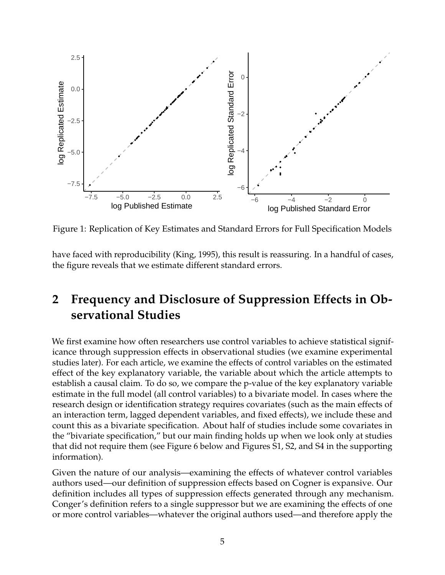

Figure 1: Replication of Key Estimates and Standard Errors for Full Specification Models

have faced with reproducibility [\(King, 1995\)](#page-17-6), this result is reassuring. In a handful of cases, the figure reveals that we estimate different standard errors.

#### **2 Frequency and Disclosure of Suppression Effects in Observational Studies**

We first examine how often researchers use control variables to achieve statistical significance through suppression effects in observational studies (we examine experimental studies later). For each article, we examine the effects of control variables on the estimated effect of the key explanatory variable, the variable about which the article attempts to establish a causal claim. To do so, we compare the p-value of the key explanatory variable estimate in the full model (all control variables) to a bivariate model. In cases where the research design or identification strategy requires covariates (such as the main effects of an interaction term, lagged dependent variables, and fixed effects), we include these and count this as a bivariate specification. About half of studies include some covariates in the "bivariate specification," but our main finding holds up when we look only at studies that did not require them (see Figure 6 below and Figures S1, S2, and S4 in the supporting information).

Given the nature of our analysis—examining the effects of whatever control variables authors used—our definition of suppression effects based on Cogner is expansive. Our definition includes all types of suppression effects generated through any mechanism. Conger's definition refers to a single suppressor but we are examining the effects of one or more control variables—whatever the original authors used—and therefore apply the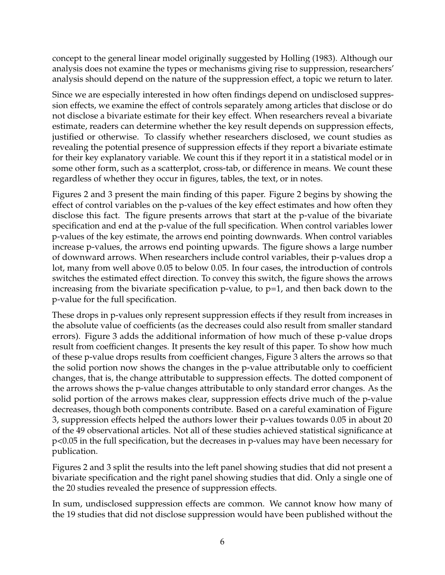concept to the general linear model originally suggested by Holling [\(1983\)](#page-17-7). Although our analysis does not examine the types or mechanisms giving rise to suppression, researchers' analysis should depend on the nature of the suppression effect, a topic we return to later.

Since we are especially interested in how often findings depend on undisclosed suppression effects, we examine the effect of controls separately among articles that disclose or do not disclose a bivariate estimate for their key effect. When researchers reveal a bivariate estimate, readers can determine whether the key result depends on suppression effects, justified or otherwise. To classify whether researchers disclosed, we count studies as revealing the potential presence of suppression effects if they report a bivariate estimate for their key explanatory variable. We count this if they report it in a statistical model or in some other form, such as a scatterplot, cross-tab, or difference in means. We count these regardless of whether they occur in figures, tables, the text, or in notes.

Figures 2 and 3 present the main finding of this paper. Figure 2 begins by showing the effect of control variables on the p-values of the key effect estimates and how often they disclose this fact. The figure presents arrows that start at the p-value of the bivariate specification and end at the p-value of the full specification. When control variables lower p-values of the key estimate, the arrows end pointing downwards. When control variables increase p-values, the arrows end pointing upwards. The figure shows a large number of downward arrows. When researchers include control variables, their p-values drop a lot, many from well above 0.05 to below 0.05. In four cases, the introduction of controls switches the estimated effect direction. To convey this switch, the figure shows the arrows increasing from the bivariate specification  $p$ -value, to  $p=1$ , and then back down to the p-value for the full specification.

These drops in p-values only represent suppression effects if they result from increases in the absolute value of coefficients (as the decreases could also result from smaller standard errors). Figure 3 adds the additional information of how much of these p-value drops result from coefficient changes. It presents the key result of this paper. To show how much of these p-value drops results from coefficient changes, Figure 3 alters the arrows so that the solid portion now shows the changes in the p-value attributable only to coefficient changes, that is, the change attributable to suppression effects. The dotted component of the arrows shows the p-value changes attributable to only standard error changes. As the solid portion of the arrows makes clear, suppression effects drive much of the p-value decreases, though both components contribute. Based on a careful examination of Figure 3, suppression effects helped the authors lower their p-values towards 0.05 in about 20 of the 49 observational articles. Not all of these studies achieved statistical significance at p<0.05 in the full specification, but the decreases in p-values may have been necessary for publication.

Figures 2 and 3 split the results into the left panel showing studies that did not present a bivariate specification and the right panel showing studies that did. Only a single one of the 20 studies revealed the presence of suppression effects.

In sum, undisclosed suppression effects are common. We cannot know how many of the 19 studies that did not disclose suppression would have been published without the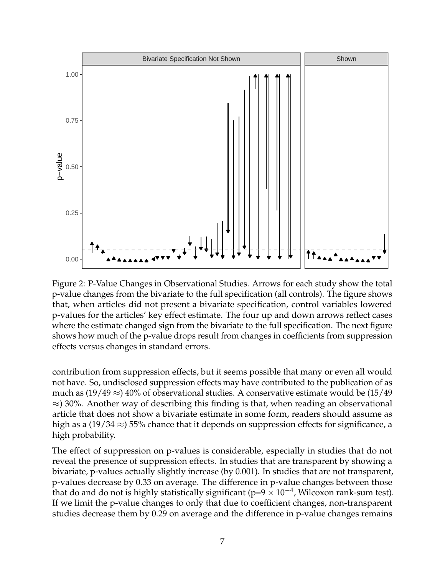

Figure 2: P-Value Changes in Observational Studies. Arrows for each study show the total p-value changes from the bivariate to the full specification (all controls). The figure shows that, when articles did not present a bivariate specification, control variables lowered p-values for the articles' key effect estimate. The four up and down arrows reflect cases where the estimate changed sign from the bivariate to the full specification. The next figure shows how much of the p-value drops result from changes in coefficients from suppression effects versus changes in standard errors.

contribution from suppression effects, but it seems possible that many or even all would not have. So, undisclosed suppression effects may have contributed to the publication of as much as  $(19/49 \approx) 40\%$  of observational studies. A conservative estimate would be  $(15/49)$  $\approx$ ) 30%. Another way of describing this finding is that, when reading an observational article that does not show a bivariate estimate in some form, readers should assume as high as a (19/34  $\approx$ ) 55% chance that it depends on suppression effects for significance, a high probability.

The effect of suppression on p-values is considerable, especially in studies that do not reveal the presence of suppression effects. In studies that are transparent by showing a bivariate, p-values actually slightly increase (by 0.001). In studies that are not transparent, p-values decrease by 0.33 on average. The difference in p-value changes between those that do and do not is highly statistically significant (p=9  $\times$  10<sup>-4</sup>, Wilcoxon rank-sum test). If we limit the p-value changes to only that due to coefficient changes, non-transparent studies decrease them by 0.29 on average and the difference in p-value changes remains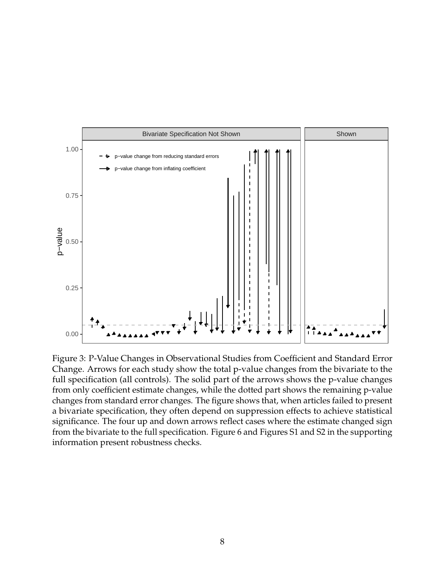

Figure 3: P-Value Changes in Observational Studies from Coefficient and Standard Error Change. Arrows for each study show the total p-value changes from the bivariate to the full specification (all controls). The solid part of the arrows shows the p-value changes from only coefficient estimate changes, while the dotted part shows the remaining p-value changes from standard error changes. The figure shows that, when articles failed to present a bivariate specification, they often depend on suppression effects to achieve statistical significance. The four up and down arrows reflect cases where the estimate changed sign from the bivariate to the full specification. Figure 6 and Figures S1 and S2 in the supporting information present robustness checks.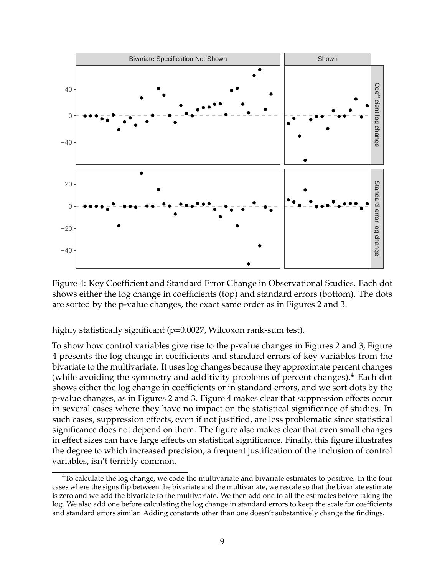

Figure 4: Key Coefficient and Standard Error Change in Observational Studies. Each dot shows either the log change in coefficients (top) and standard errors (bottom). The dots are sorted by the p-value changes, the exact same order as in Figures 2 and 3.

highly statistically significant (p=0.0027, Wilcoxon rank-sum test).

To show how control variables give rise to the p-value changes in Figures 2 and 3, Figure 4 presents the log change in coefficients and standard errors of key variables from the bivariate to the multivariate. It uses log changes because they approximate percent changes (while avoiding the symmetry and additivity problems of percent changes). $4$  Each dot shows either the log change in coefficients or in standard errors, and we sort dots by the p-value changes, as in Figures 2 and 3. Figure 4 makes clear that suppression effects occur in several cases where they have no impact on the statistical significance of studies. In such cases, suppression effects, even if not justified, are less problematic since statistical significance does not depend on them. The figure also makes clear that even small changes in effect sizes can have large effects on statistical significance. Finally, this figure illustrates the degree to which increased precision, a frequent justification of the inclusion of control variables, isn't terribly common.

<span id="page-8-0"></span> $4$ To calculate the log change, we code the multivariate and bivariate estimates to positive. In the four cases where the signs flip between the bivariate and the multivariate, we rescale so that the bivariate estimate is zero and we add the bivariate to the multivariate. We then add one to all the estimates before taking the log. We also add one before calculating the log change in standard errors to keep the scale for coefficients and standard errors similar. Adding constants other than one doesn't substantively change the findings.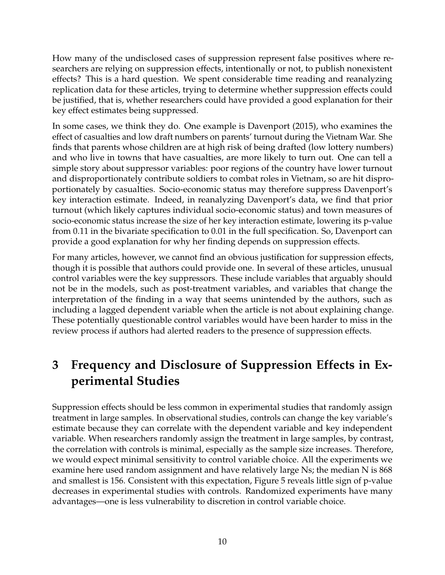How many of the undisclosed cases of suppression represent false positives where researchers are relying on suppression effects, intentionally or not, to publish nonexistent effects? This is a hard question. We spent considerable time reading and reanalyzing replication data for these articles, trying to determine whether suppression effects could be justified, that is, whether researchers could have provided a good explanation for their key effect estimates being suppressed.

In some cases, we think they do. One example is Davenport [\(2015\)](#page-17-8), who examines the effect of casualties and low draft numbers on parents' turnout during the Vietnam War. She finds that parents whose children are at high risk of being drafted (low lottery numbers) and who live in towns that have casualties, are more likely to turn out. One can tell a simple story about suppressor variables: poor regions of the country have lower turnout and disproportionately contribute soldiers to combat roles in Vietnam, so are hit disproportionately by casualties. Socio-economic status may therefore suppress Davenport's key interaction estimate. Indeed, in reanalyzing Davenport's data, we find that prior turnout (which likely captures individual socio-economic status) and town measures of socio-economic status increase the size of her key interaction estimate, lowering its p-value from 0.11 in the bivariate specification to 0.01 in the full specification. So, Davenport can provide a good explanation for why her finding depends on suppression effects.

For many articles, however, we cannot find an obvious justification for suppression effects, though it is possible that authors could provide one. In several of these articles, unusual control variables were the key suppressors. These include variables that arguably should not be in the models, such as post-treatment variables, and variables that change the interpretation of the finding in a way that seems unintended by the authors, such as including a lagged dependent variable when the article is not about explaining change. These potentially questionable control variables would have been harder to miss in the review process if authors had alerted readers to the presence of suppression effects.

# **3 Frequency and Disclosure of Suppression Effects in Experimental Studies**

Suppression effects should be less common in experimental studies that randomly assign treatment in large samples. In observational studies, controls can change the key variable's estimate because they can correlate with the dependent variable and key independent variable. When researchers randomly assign the treatment in large samples, by contrast, the correlation with controls is minimal, especially as the sample size increases. Therefore, we would expect minimal sensitivity to control variable choice. All the experiments we examine here used random assignment and have relatively large Ns; the median N is 868 and smallest is 156. Consistent with this expectation, Figure 5 reveals little sign of p-value decreases in experimental studies with controls. Randomized experiments have many advantages—one is less vulnerability to discretion in control variable choice.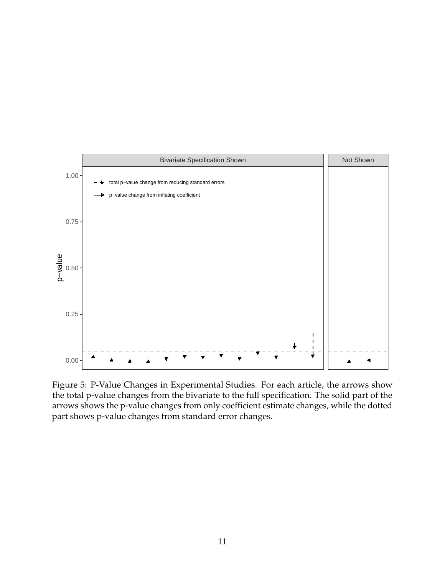

Figure 5: P-Value Changes in Experimental Studies. For each article, the arrows show the total p-value changes from the bivariate to the full specification. The solid part of the arrows shows the p-value changes from only coefficient estimate changes, while the dotted part shows p-value changes from standard error changes.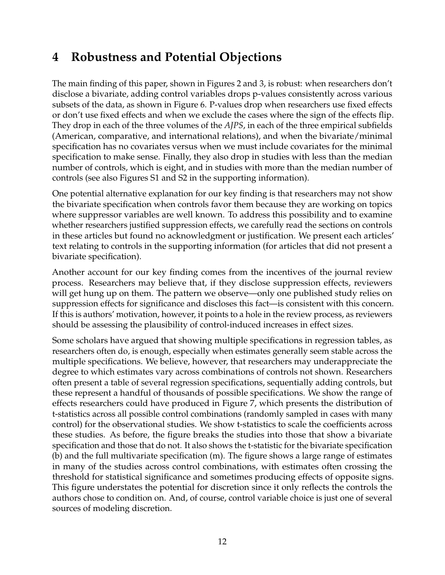# **4 Robustness and Potential Objections**

The main finding of this paper, shown in Figures 2 and 3, is robust: when researchers don't disclose a bivariate, adding control variables drops p-values consistently across various subsets of the data, as shown in Figure 6. P-values drop when researchers use fixed effects or don't use fixed effects and when we exclude the cases where the sign of the effects flip. They drop in each of the three volumes of the *AJPS*, in each of the three empirical subfields (American, comparative, and international relations), and when the bivariate/minimal specification has no covariates versus when we must include covariates for the minimal specification to make sense. Finally, they also drop in studies with less than the median number of controls, which is eight, and in studies with more than the median number of controls (see also Figures S1 and S2 in the supporting information).

One potential alternative explanation for our key finding is that researchers may not show the bivariate specification when controls favor them because they are working on topics where suppressor variables are well known. To address this possibility and to examine whether researchers justified suppression effects, we carefully read the sections on controls in these articles but found no acknowledgment or justification. We present each articles' text relating to controls in the supporting information (for articles that did not present a bivariate specification).

Another account for our key finding comes from the incentives of the journal review process. Researchers may believe that, if they disclose suppression effects, reviewers will get hung up on them. The pattern we observe—only one published study relies on suppression effects for significance and discloses this fact—is consistent with this concern. If this is authors' motivation, however, it points to a hole in the review process, as reviewers should be assessing the plausibility of control-induced increases in effect sizes.

Some scholars have argued that showing multiple specifications in regression tables, as researchers often do, is enough, especially when estimates generally seem stable across the multiple specifications. We believe, however, that researchers may underappreciate the degree to which estimates vary across combinations of controls not shown. Researchers often present a table of several regression specifications, sequentially adding controls, but these represent a handful of thousands of possible specifications. We show the range of effects researchers could have produced in Figure 7, which presents the distribution of t-statistics across all possible control combinations (randomly sampled in cases with many control) for the observational studies. We show t-statistics to scale the coefficients across these studies. As before, the figure breaks the studies into those that show a bivariate specification and those that do not. It also shows the t-statistic for the bivariate specification (b) and the full multivariate specification (m). The figure shows a large range of estimates in many of the studies across control combinations, with estimates often crossing the threshold for statistical significance and sometimes producing effects of opposite signs. This figure understates the potential for discretion since it only reflects the controls the authors chose to condition on. And, of course, control variable choice is just one of several sources of modeling discretion.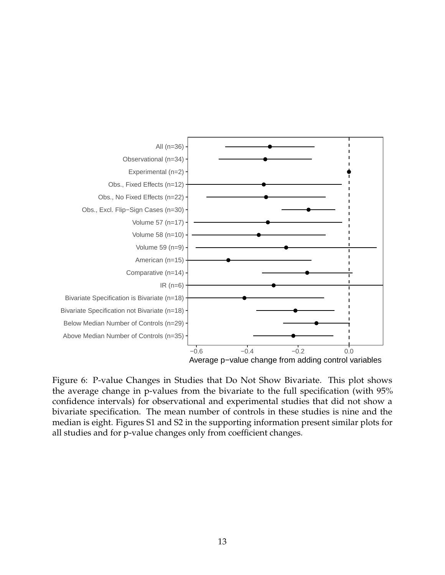

Figure 6: P-value Changes in Studies that Do Not Show Bivariate. This plot shows the average change in p-values from the bivariate to the full specification (with 95% confidence intervals) for observational and experimental studies that did not show a bivariate specification. The mean number of controls in these studies is nine and the median is eight. Figures S1 and S2 in the supporting information present similar plots for all studies and for p-value changes only from coefficient changes.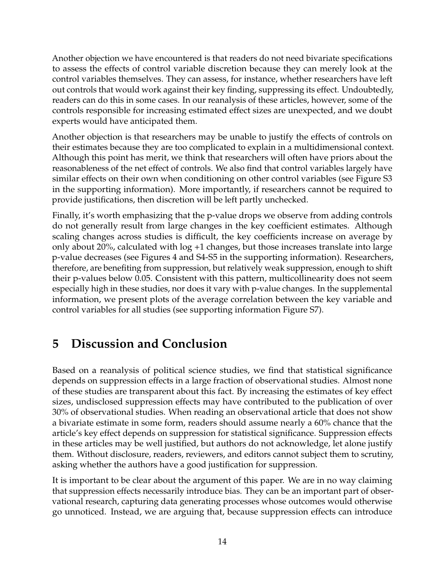Another objection we have encountered is that readers do not need bivariate specifications to assess the effects of control variable discretion because they can merely look at the control variables themselves. They can assess, for instance, whether researchers have left out controls that would work against their key finding, suppressing its effect. Undoubtedly, readers can do this in some cases. In our reanalysis of these articles, however, some of the controls responsible for increasing estimated effect sizes are unexpected, and we doubt experts would have anticipated them.

Another objection is that researchers may be unable to justify the effects of controls on their estimates because they are too complicated to explain in a multidimensional context. Although this point has merit, we think that researchers will often have priors about the reasonableness of the net effect of controls. We also find that control variables largely have similar effects on their own when conditioning on other control variables (see Figure S3 in the supporting information). More importantly, if researchers cannot be required to provide justifications, then discretion will be left partly unchecked.

Finally, it's worth emphasizing that the p-value drops we observe from adding controls do not generally result from large changes in the key coefficient estimates. Although scaling changes across studies is difficult, the key coefficients increase on average by only about 20%, calculated with log +1 changes, but those increases translate into large p-value decreases (see Figures 4 and S4-S5 in the supporting information). Researchers, therefore, are benefiting from suppression, but relatively weak suppression, enough to shift their p-values below 0.05. Consistent with this pattern, multicollinearity does not seem especially high in these studies, nor does it vary with p-value changes. In the supplemental information, we present plots of the average correlation between the key variable and control variables for all studies (see supporting information Figure S7).

### **5 Discussion and Conclusion**

Based on a reanalysis of political science studies, we find that statistical significance depends on suppression effects in a large fraction of observational studies. Almost none of these studies are transparent about this fact. By increasing the estimates of key effect sizes, undisclosed suppression effects may have contributed to the publication of over 30% of observational studies. When reading an observational article that does not show a bivariate estimate in some form, readers should assume nearly a 60% chance that the article's key effect depends on suppression for statistical significance. Suppression effects in these articles may be well justified, but authors do not acknowledge, let alone justify them. Without disclosure, readers, reviewers, and editors cannot subject them to scrutiny, asking whether the authors have a good justification for suppression.

It is important to be clear about the argument of this paper. We are in no way claiming that suppression effects necessarily introduce bias. They can be an important part of observational research, capturing data generating processes whose outcomes would otherwise go unnoticed. Instead, we are arguing that, because suppression effects can introduce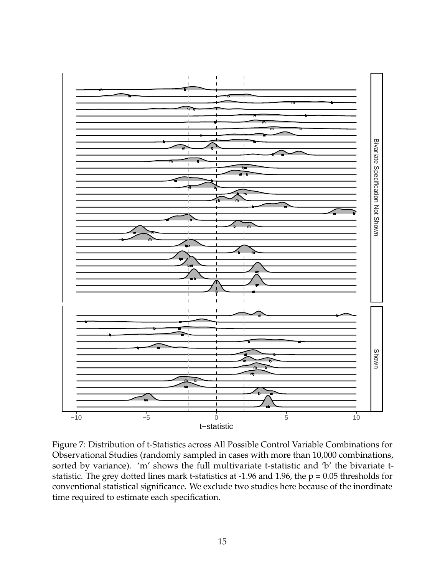

Figure 7: Distribution of t-Statistics across All Possible Control Variable Combinations for Observational Studies (randomly sampled in cases with more than 10,000 combinations, sorted by variance). 'm' shows the full multivariate t-statistic and 'b' the bivariate tstatistic. The grey dotted lines mark t-statistics at -1.96 and 1.96, the  $p = 0.05$  thresholds for conventional statistical significance. We exclude two studies here because of the inordinate time required to estimate each specification.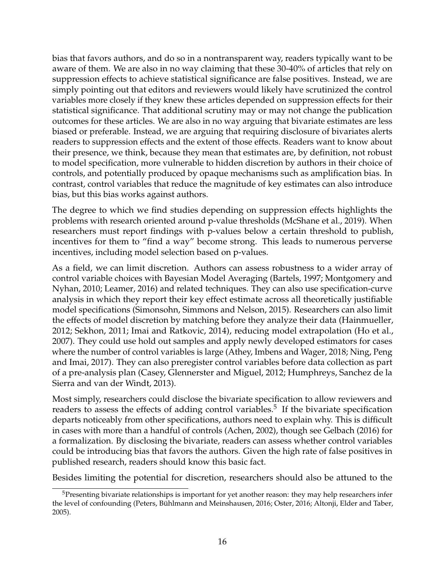bias that favors authors, and do so in a nontransparent way, readers typically want to be aware of them. We are also in no way claiming that these 30-40% of articles that rely on suppression effects to achieve statistical significance are false positives. Instead, we are simply pointing out that editors and reviewers would likely have scrutinized the control variables more closely if they knew these articles depended on suppression effects for their statistical significance. That additional scrutiny may or may not change the publication outcomes for these articles. We are also in no way arguing that bivariate estimates are less biased or preferable. Instead, we are arguing that requiring disclosure of bivariates alerts readers to suppression effects and the extent of those effects. Readers want to know about their presence, we think, because they mean that estimates are, by definition, not robust to model specification, more vulnerable to hidden discretion by authors in their choice of controls, and potentially produced by opaque mechanisms such as amplification bias. In contrast, control variables that reduce the magnitude of key estimates can also introduce bias, but this bias works against authors.

The degree to which we find studies depending on suppression effects highlights the problems with research oriented around p-value thresholds [\(McShane et al., 2019\)](#page-18-9). When researchers must report findings with p-values below a certain threshold to publish, incentives for them to "find a way" become strong. This leads to numerous perverse incentives, including model selection based on p-values.

As a field, we can limit discretion. Authors can assess robustness to a wider array of control variable choices with Bayesian Model Averaging [\(Bartels, 1997;](#page-16-7) [Montgomery and](#page-18-10) [Nyhan, 2010;](#page-18-10) [Leamer, 2016\)](#page-18-11) and related techniques. They can also use specification-curve analysis in which they report their key effect estimate across all theoretically justifiable model specifications [\(Simonsohn, Simmons and Nelson, 2015\)](#page-19-4). Researchers can also limit the effects of model discretion by matching before they analyze their data [\(Hainmueller,](#page-17-9) [2012;](#page-17-9) [Sekhon, 2011;](#page-19-5) [Imai and Ratkovic, 2014\)](#page-17-10), reducing model extrapolation [\(Ho et al.,](#page-17-11) [2007\)](#page-17-11). They could use hold out samples and apply newly developed estimators for cases where the number of control variables is large [\(Athey, Imbens and Wager, 2018;](#page-16-8) [Ning, Peng](#page-18-12) [and Imai, 2017\)](#page-18-12). They can also preregister control variables before data collection as part of a pre-analysis plan [\(Casey, Glennerster and Miguel, 2012;](#page-16-9) [Humphreys, Sanchez de la](#page-17-12) [Sierra and van der Windt, 2013\)](#page-17-12).

Most simply, researchers could disclose the bivariate specification to allow reviewers and readers to assess the effects of adding control variables.<sup>[5](#page-15-0)</sup> If the bivariate specification departs noticeably from other specifications, authors need to explain why. This is difficult in cases with more than a handful of controls [\(Achen, 2002\)](#page-16-10), though see Gelbach [\(2016\)](#page-17-13) for a formalization. By disclosing the bivariate, readers can assess whether control variables could be introducing bias that favors the authors. Given the high rate of false positives in published research, readers should know this basic fact.

Besides limiting the potential for discretion, researchers should also be attuned to the

<span id="page-15-0"></span><sup>&</sup>lt;sup>5</sup>Presenting bivariate relationships is important for yet another reason: they may help researchers infer the level of confounding [\(Peters, Bühlmann and Meinshausen, 2016;](#page-18-13) [Oster, 2016;](#page-18-14) [Altonji, Elder and Taber,](#page-16-11) [2005\)](#page-16-11).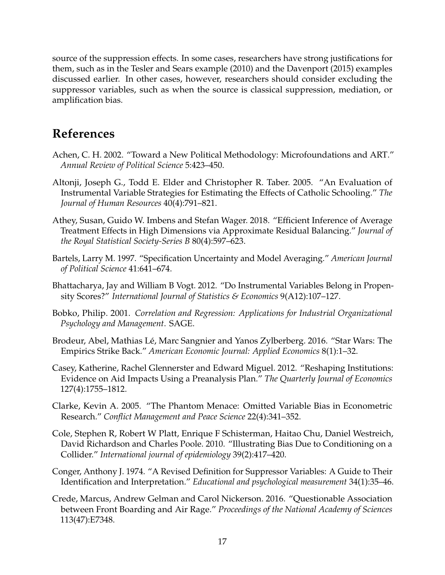source of the suppression effects. In some cases, researchers have strong justifications for them, such as in the Tesler and Sears example [\(2010\)](#page-19-1) and the Davenport [\(2015\)](#page-17-8) examples discussed earlier. In other cases, however, researchers should consider excluding the suppressor variables, such as when the source is classical suppression, mediation, or amplification bias.

#### **References**

- <span id="page-16-10"></span>Achen, C. H. 2002. "Toward a New Political Methodology: Microfoundations and ART." *Annual Review of Political Science* 5:423–450.
- <span id="page-16-11"></span>Altonji, Joseph G., Todd E. Elder and Christopher R. Taber. 2005. "An Evaluation of Instrumental Variable Strategies for Estimating the Effects of Catholic Schooling." *The Journal of Human Resources* 40(4):791–821.
- <span id="page-16-8"></span>Athey, Susan, Guido W. Imbens and Stefan Wager. 2018. "Efficient Inference of Average Treatment Effects in High Dimensions via Approximate Residual Balancing." *Journal of the Royal Statistical Society-Series B* 80(4):597–623.
- <span id="page-16-7"></span>Bartels, Larry M. 1997. "Specification Uncertainty and Model Averaging." *American Journal of Political Science* 41:641–674.
- <span id="page-16-3"></span>Bhattacharya, Jay and William B Vogt. 2012. "Do Instrumental Variables Belong in Propensity Scores?" *International Journal of Statistics & Economics* 9(A12):107–127.
- <span id="page-16-0"></span>Bobko, Philip. 2001. *Correlation and Regression: Applications for Industrial Organizational Psychology and Management*. SAGE.
- <span id="page-16-6"></span>Brodeur, Abel, Mathias Lé, Marc Sangnier and Yanos Zylberberg. 2016. "Star Wars: The Empirics Strike Back." *American Economic Journal: Applied Economics* 8(1):1–32.
- <span id="page-16-9"></span>Casey, Katherine, Rachel Glennerster and Edward Miguel. 2012. "Reshaping Institutions: Evidence on Aid Impacts Using a Preanalysis Plan." *The Quarterly Journal of Economics* 127(4):1755–1812.
- <span id="page-16-4"></span>Clarke, Kevin A. 2005. "The Phantom Menace: Omitted Variable Bias in Econometric Research." *Conflict Management and Peace Science* 22(4):341–352.
- <span id="page-16-5"></span>Cole, Stephen R, Robert W Platt, Enrique F Schisterman, Haitao Chu, Daniel Westreich, David Richardson and Charles Poole. 2010. "Illustrating Bias Due to Conditioning on a Collider." *International journal of epidemiology* 39(2):417–420.
- <span id="page-16-2"></span>Conger, Anthony J. 1974. "A Revised Definition for Suppressor Variables: A Guide to Their Identification and Interpretation." *Educational and psychological measurement* 34(1):35–46.
- <span id="page-16-1"></span>Crede, Marcus, Andrew Gelman and Carol Nickerson. 2016. "Questionable Association between Front Boarding and Air Rage." *Proceedings of the National Academy of Sciences* 113(47):E7348.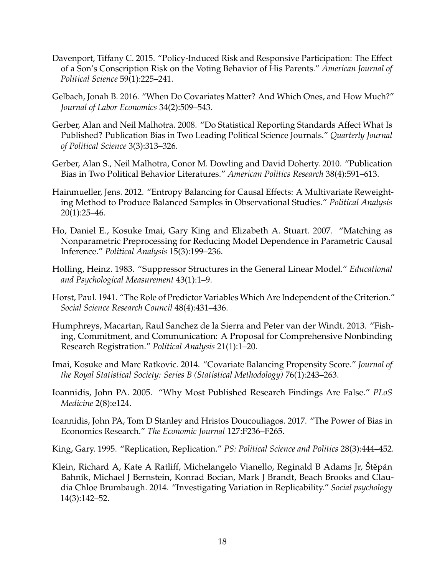- <span id="page-17-8"></span>Davenport, Tiffany C. 2015. "Policy-Induced Risk and Responsive Participation: The Effect of a Son's Conscription Risk on the Voting Behavior of His Parents." *American Journal of Political Science* 59(1):225–241.
- <span id="page-17-13"></span>Gelbach, Jonah B. 2016. "When Do Covariates Matter? And Which Ones, and How Much?" *Journal of Labor Economics* 34(2):509–543.
- <span id="page-17-5"></span>Gerber, Alan and Neil Malhotra. 2008. "Do Statistical Reporting Standards Affect What Is Published? Publication Bias in Two Leading Political Science Journals." *Quarterly Journal of Political Science* 3(3):313–326.
- <span id="page-17-4"></span>Gerber, Alan S., Neil Malhotra, Conor M. Dowling and David Doherty. 2010. "Publication Bias in Two Political Behavior Literatures." *American Politics Research* 38(4):591–613.
- <span id="page-17-9"></span>Hainmueller, Jens. 2012. "Entropy Balancing for Causal Effects: A Multivariate Reweighting Method to Produce Balanced Samples in Observational Studies." *Political Analysis* 20(1):25–46.
- <span id="page-17-11"></span>Ho, Daniel E., Kosuke Imai, Gary King and Elizabeth A. Stuart. 2007. "Matching as Nonparametric Preprocessing for Reducing Model Dependence in Parametric Causal Inference." *Political Analysis* 15(3):199–236.
- <span id="page-17-7"></span>Holling, Heinz. 1983. "Suppressor Structures in the General Linear Model." *Educational and Psychological Measurement* 43(1):1–9.
- <span id="page-17-0"></span>Horst, Paul. 1941. "The Role of Predictor Variables Which Are Independent of the Criterion." *Social Science Research Council* 48(4):431–436.
- <span id="page-17-12"></span>Humphreys, Macartan, Raul Sanchez de la Sierra and Peter van der Windt. 2013. "Fishing, Commitment, and Communication: A Proposal for Comprehensive Nonbinding Research Registration." *Political Analysis* 21(1):1–20.
- <span id="page-17-10"></span>Imai, Kosuke and Marc Ratkovic. 2014. "Covariate Balancing Propensity Score." *Journal of the Royal Statistical Society: Series B (Statistical Methodology)* 76(1):243–263.
- <span id="page-17-1"></span>Ioannidis, John PA. 2005. "Why Most Published Research Findings Are False." *PLoS Medicine* 2(8):e124.
- <span id="page-17-2"></span>Ioannidis, John PA, Tom D Stanley and Hristos Doucouliagos. 2017. "The Power of Bias in Economics Research." *The Economic Journal* 127:F236–F265.

<span id="page-17-6"></span>King, Gary. 1995. "Replication, Replication." *PS: Political Science and Politics* 28(3):444–452.

<span id="page-17-3"></span>Klein, Richard A, Kate A Ratliff, Michelangelo Vianello, Reginald B Adams Jr, Štěpán Bahník, Michael J Bernstein, Konrad Bocian, Mark J Brandt, Beach Brooks and Claudia Chloe Brumbaugh. 2014. "Investigating Variation in Replicability." *Social psychology* 14(3):142–52.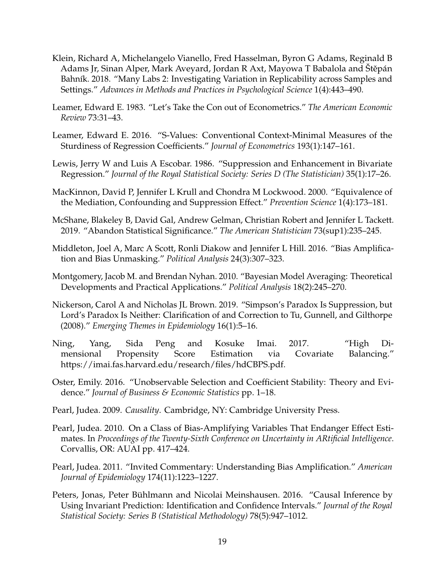- <span id="page-18-8"></span>Klein, Richard A, Michelangelo Vianello, Fred Hasselman, Byron G Adams, Reginald B Adams Jr, Sinan Alper, Mark Aveyard, Jordan R Axt, Mayowa T Babalola and Stěpán Bahník. 2018. "Many Labs 2: Investigating Variation in Replicability across Samples and Settings." *Advances in Methods and Practices in Psychological Science* 1(4):443–490.
- <span id="page-18-7"></span>Leamer, Edward E. 1983. "Let's Take the Con out of Econometrics." *The American Economic Review* 73:31–43.
- <span id="page-18-11"></span>Leamer, Edward E. 2016. "S-Values: Conventional Context-Minimal Measures of the Sturdiness of Regression Coefficients." *Journal of Econometrics* 193(1):147–161.
- <span id="page-18-2"></span>Lewis, Jerry W and Luis A Escobar. 1986. "Suppression and Enhancement in Bivariate Regression." *Journal of the Royal Statistical Society: Series D (The Statistician)* 35(1):17–26.
- <span id="page-18-0"></span>MacKinnon, David P, Jennifer L Krull and Chondra M Lockwood. 2000. "Equivalence of the Mediation, Confounding and Suppression Effect." *Prevention Science* 1(4):173–181.
- <span id="page-18-9"></span>McShane, Blakeley B, David Gal, Andrew Gelman, Christian Robert and Jennifer L Tackett. 2019. "Abandon Statistical Significance." *The American Statistician* 73(sup1):235–245.
- <span id="page-18-3"></span>Middleton, Joel A, Marc A Scott, Ronli Diakow and Jennifer L Hill. 2016. "Bias Amplification and Bias Unmasking." *Political Analysis* 24(3):307–323.
- <span id="page-18-10"></span>Montgomery, Jacob M. and Brendan Nyhan. 2010. "Bayesian Model Averaging: Theoretical Developments and Practical Applications." *Political Analysis* 18(2):245–270.
- <span id="page-18-1"></span>Nickerson, Carol A and Nicholas JL Brown. 2019. "Simpson's Paradox Is Suppression, but Lord's Paradox Is Neither: Clarification of and Correction to Tu, Gunnell, and Gilthorpe (2008)." *Emerging Themes in Epidemiology* 16(1):5–16.
- <span id="page-18-12"></span>Ning, Yang, Sida Peng and Kosuke Imai. 2017. "High Dimensional Propensity Score Estimation via Covariate Balancing." https://imai.fas.harvard.edu/research/files/hdCBPS.pdf.
- <span id="page-18-14"></span>Oster, Emily. 2016. "Unobservable Selection and Coefficient Stability: Theory and Evidence." *Journal of Business & Economic Statistics* pp. 1–18.
- <span id="page-18-6"></span>Pearl, Judea. 2009. *Causality*. Cambridge, NY: Cambridge University Press.
- <span id="page-18-4"></span>Pearl, Judea. 2010. On a Class of Bias-Amplifying Variables That Endanger Effect Estimates. In *Proceedings of the Twenty-Sixth Conference on Uncertainty in ARtificial Intelligence*. Corvallis, OR: AUAI pp. 417–424.
- <span id="page-18-5"></span>Pearl, Judea. 2011. "Invited Commentary: Understanding Bias Amplification." *American Journal of Epidemiology* 174(11):1223–1227.
- <span id="page-18-13"></span>Peters, Jonas, Peter Bühlmann and Nicolai Meinshausen. 2016. "Causal Inference by Using Invariant Prediction: Identification and Confidence Intervals." *Journal of the Royal Statistical Society: Series B (Statistical Methodology)* 78(5):947–1012.